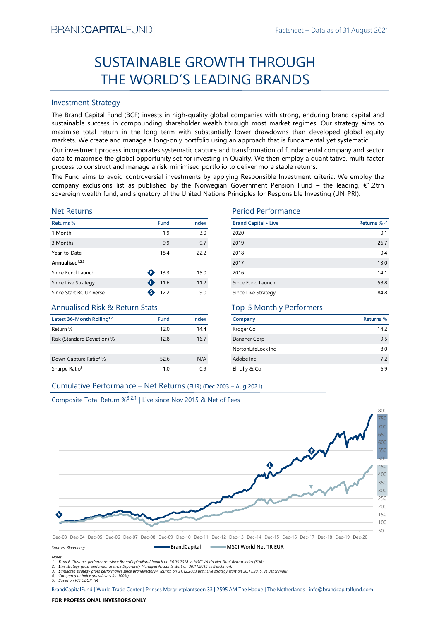# Factsheet – Data as of 31 August 2021<br> **CUGH** SUSTAINABLE GROWTH THROUGH THE WORLD'S LEADING BRANDS

# Investment Strategy

Franchistantial Constrainers (Fig. 1988)<br>
SUSTAINABLE GROWTH THROUGH<br>
THE WORLD'S LEADING BRANDS<br>
Investment Strategy<br>
The WORLD'S LEADING BRANDS<br>
Investment Strategy<br>
the stand Capital Fund (BCF) invests in high-quality g **SUSTAINABLE GROWTH THROUGH**<br> **THE WORLD'S LEADING BRANDS**<br>
Investment Strategy<br>
IThe Brand Gapital Fund (8CF) invests in high-quality global comparies with strong, enduring brand capital and<br>
sustrianble success in compo BRAND**CAPITAL**FUND<br>
Factsheet – Data as of 31 August 2021<br> **SUSTAINABLE GROWTH THROUGH**<br> **THE WORLD'S LEADING BRANDS**<br>
Investment Strategy<br>
The Brand Capital Fund (BCF) invests in high-quality global companies with strong, BRAND**CAPITAL**FUND<br>
SUSTAINABLE GROWTH THROUGH<br>
THE WORLD'S LEADING BRANDS<br>
Investment Strategy<br>
The Brand Capital Fund (BCF) invests in high-quality global companies with strong, enduring brand capital and<br>
sustainable su EXANDCAPITALFUND<br>
Factsheet – Data as of 31 August 2021<br>
SUSTAINABLE GROWTH THROUGH<br>
THE WORLD'S LEADING BRANDS<br>
Investment Strategy<br>
The Brand Capital Fund (BCF) invests in high-quality global companies with strong, endur BRAND**CAPITAL**FUND<br>
Factsheet – Data as of 31 August 2021<br>
SUSTAINABLE GROWTH THROUGH<br>
THE WORLD'S LEADING BRANDS<br>
Investment Strategy<br>
Investment Strategy<br>
The Brand Capital Fund (BCF) invests in high-quality global compa BRAND**CAPITAL**FUND<br>
Factsheet – Data as of 31 August 2021<br>
SUSTAINABLE GROWTH THROUGH<br>
THE WORLD'S LEADING BRANDS<br>
Investment Strategy<br>
Investment Strategy<br>
Investment Strategy<br>
Investment Strategy<br>
starting (BCF) invests BRAND**CAPITAL**FUND<br>
SUSTAINABLE GROWTH THROUGH<br>
THE WORLD'S LEADING BRANDS<br>
Investment Strategy<br>
The Brand Capital Fund (BCF) invests in high-quality global companies with strong, enduring brand capital and<br>
Justainable su BRANDCAPITALFUND<br>
SUSTAINABLE GROWTH THROUGH<br>
THE WORLD'S LEADING BRANDS<br>
Investment Strategy<br>
The Brand Capital Fund (BCF) invests in high-quality global companies with strong, enduring brand capital and<br>
sustainable succ ERANDCAPITALFUND<br>
SUSTAINABLE GROWTH THROUGH<br>
THE WORLD'S LEADING BRANDS<br>
Investment Strategy<br>
Investment Strategy<br>
Investment Strategy<br>
Investment Strategy<br>
Investment Strategy<br>
Sustainable success in compounding sharehol EXANDCAPITALFUND<br>
SUSTAINABLE GROWTH THROUGH<br>
THE WORLD'S LEADING BRANDS<br>
Investment Strategy<br>
The Brand Capital Fund (BCF) invests in high-quality global companies with strong, enduring brand capital and<br>
sussissinable s BRANDCAPITALFUND<br>
SUSTAINABLE GROWTH THROUGH<br>
THE WORLD'S LEADING BRANDS<br>
Investment Strategy<br>
Investment Strategy<br>
Investment Strategy<br>
Investment Strategy<br>
Sustainable success in compounding shareholder wealth fundap mo

# Net Returns

| <b>Returns %</b>            | <b>Fund</b> | Index | <b>Brand Capital • Lives</b> |
|-----------------------------|-------------|-------|------------------------------|
| 1 Month                     | 1.9         | 3.0   | 2020                         |
| 3 Months                    | 9.9         | 9.7   | 2019                         |
| Year-to-Date                | 18.4        | 22.2  | 2018                         |
| Annualised <sup>1,2,3</sup> |             |       | 2017                         |
| Since Fund Launch           | 13.3        | 15.0  | 2016                         |
| Since Live Strategy         | 11.6        | 11.2  | Since Fund Launch            |
| Since Start BC Universe     | 12.2        | 9.0   | Since Live Strategy          |
|                             |             |       |                              |

# Annualised Risk & Return Stats

| Latest 36-Month Rolling <sup>1,2</sup> | <b>Fund</b> | Index |
|----------------------------------------|-------------|-------|
| Return %                               | 12.0        | 14.4  |
| Risk (Standard Deviation) %            | 12.8        | 16.7  |
| Down-Capture Ratio <sup>4</sup> %      | 52.6        | N/A   |
| Sharpe Ratio <sup>5</sup>              | 1.0         | 0.9   |

# Period Performance

| BRANU <b>UAPHAL</b> FUND                                                      |                |       |                                                                                                                                                                                                                                                                                                                                                                                                                                                 | Hactsheet – Data as of 31 August 2021 |
|-------------------------------------------------------------------------------|----------------|-------|-------------------------------------------------------------------------------------------------------------------------------------------------------------------------------------------------------------------------------------------------------------------------------------------------------------------------------------------------------------------------------------------------------------------------------------------------|---------------------------------------|
|                                                                               |                |       | SUSTAINABLE GROWTH THROUGH                                                                                                                                                                                                                                                                                                                                                                                                                      |                                       |
|                                                                               |                |       | THE WORLD'S LEADING BRANDS                                                                                                                                                                                                                                                                                                                                                                                                                      |                                       |
| <b>Investment Strategy</b>                                                    |                |       |                                                                                                                                                                                                                                                                                                                                                                                                                                                 |                                       |
|                                                                               |                |       | The Brand Capital Fund (BCF) invests in high-quality global companies with strong, enduring brand capital and<br>sustainable success in compounding shareholder wealth through most market regimes. Our strategy aims to<br>maximise total return in the long term with substantially lower drawdowns than developed global equity<br>markets. We create and manage a long-only portfolio using an approach that is fundamental yet systematic. |                                       |
|                                                                               |                |       | Our investment process incorporates systematic capture and transformation of fundamental company and sector<br>data to maximise the global opportunity set for investing in Quality. We then employ a quantitative, multi-factor<br>process to construct and manage a risk-minimised portfolio to deliver more stable returns.                                                                                                                  |                                       |
|                                                                               |                |       | The Fund aims to avoid controversial investments by applying Responsible Investment criteria. We employ the<br>company exclusions list as published by the Norwegian Government Pension Fund – the leading, €1.2trn<br>sovereign wealth fund, and signatory of the United Nations Principles for Responsible Investing (UN-PRI).                                                                                                                |                                       |
| <b>Net Returns</b>                                                            |                |       | <b>Period Performance</b>                                                                                                                                                                                                                                                                                                                                                                                                                       |                                       |
| Returns %                                                                     | <b>Fund</b>    | Index | <b>Brand Capital • Live</b>                                                                                                                                                                                                                                                                                                                                                                                                                     | Returns % <sup>1,2</sup>              |
| 1 Month                                                                       | 1.9            | 3.0   | 2020                                                                                                                                                                                                                                                                                                                                                                                                                                            | 0.1                                   |
| 3 Months                                                                      | 9.9            | 9.7   | 2019                                                                                                                                                                                                                                                                                                                                                                                                                                            | 26.7                                  |
| Year-to-Date                                                                  | 18.4           | 22.2  | 2018                                                                                                                                                                                                                                                                                                                                                                                                                                            | 0.4                                   |
| Annualised <sup>1,2,3</sup>                                                   |                |       | 2017                                                                                                                                                                                                                                                                                                                                                                                                                                            | 13.0                                  |
| Since Fund Launch                                                             | $\bullet$ 13.3 | 15.0  | 2016                                                                                                                                                                                                                                                                                                                                                                                                                                            | 14.1                                  |
| Since Live Strategy                                                           | 11.6           | 11.2  | Since Fund Launch                                                                                                                                                                                                                                                                                                                                                                                                                               | 58.8                                  |
| Since Start BC Universe                                                       | $\bullet$ 12.2 | 9.0   | Since Live Strategy                                                                                                                                                                                                                                                                                                                                                                                                                             | 84.8                                  |
| <b>Annualised Risk &amp; Return Stats</b>                                     |                |       | <b>Top-5 Monthly Performers</b>                                                                                                                                                                                                                                                                                                                                                                                                                 |                                       |
| Latest 36-Month Rolling <sup>1,2</sup>                                        | Fund           | Index | Company                                                                                                                                                                                                                                                                                                                                                                                                                                         | Returns %                             |
| Return %                                                                      | 12.0           | 14.4  | Kroger Co                                                                                                                                                                                                                                                                                                                                                                                                                                       | 14.2                                  |
| Risk (Standard Deviation) %                                                   | 12.8           | 16.7  | Danaher Corp                                                                                                                                                                                                                                                                                                                                                                                                                                    | 9.5                                   |
|                                                                               |                |       | NortonLifeLock Inc                                                                                                                                                                                                                                                                                                                                                                                                                              | 8.0                                   |
| Down-Capture Ratio <sup>4</sup> %                                             | 52.6           | N/A   | Adobe Inc                                                                                                                                                                                                                                                                                                                                                                                                                                       | 7.2                                   |
| Sharpe Ratio <sup>5</sup>                                                     | 1.0            | 0.9   | Eli Lilly & Co                                                                                                                                                                                                                                                                                                                                                                                                                                  | 6.9                                   |
| Cumulative Performance - Net Returns (EUR) (Dec 2003 - Aug 2021)              |                |       |                                                                                                                                                                                                                                                                                                                                                                                                                                                 |                                       |
|                                                                               |                |       |                                                                                                                                                                                                                                                                                                                                                                                                                                                 |                                       |
| Composite Total Return % <sup>3,2,1</sup>   Live since Nov 2015 & Net of Fees |                |       |                                                                                                                                                                                                                                                                                                                                                                                                                                                 |                                       |
|                                                                               |                |       |                                                                                                                                                                                                                                                                                                                                                                                                                                                 | 800                                   |
|                                                                               |                |       |                                                                                                                                                                                                                                                                                                                                                                                                                                                 |                                       |

# Top-5 Monthly Performers

| Company            | Returns % |
|--------------------|-----------|
| Kroger Co          | 14.2      |
| Danaher Corp       | 9.5       |
| NortonLifeLock Inc | 8.0       |
| Adobe Inc          | 7.2       |
| Eli Lilly & Co     | 6.9       |





Notes:

1. Fund F-Class net performance since BrandCapitalFund launch on 26.03.2018 vs MSCI World Net Total Return Index (EUR)

2. Live strategy gross performance since Separately Managed Accounts start on 30.11.2015 vs Benchmark<br>3. Simulated strategy gross performance since Brandirectory® launch on 31.12.2003 until Live strategy start on 30.11.201

5. Based on ICE LIBOR 1M